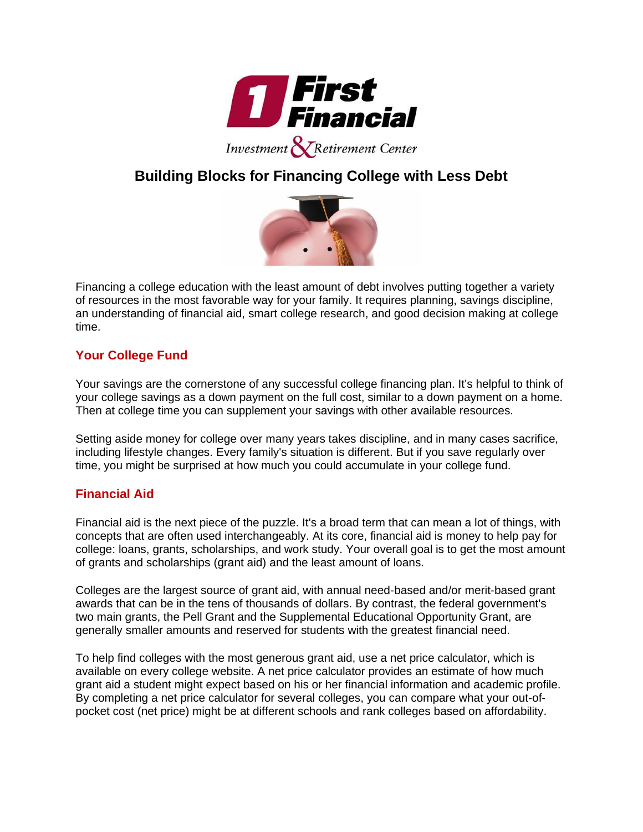

## **Building Blocks for Financing College with Less Debt**



Financing a college education with the least amount of debt involves putting together a variety of resources in the most favorable way for your family. It requires planning, savings discipline, an understanding of financial aid, smart college research, and good decision making at college time.

## **Your College Fund**

Your savings are the cornerstone of any successful college financing plan. It's helpful to think of your college savings as a down payment on the full cost, similar to a down payment on a home. Then at college time you can supplement your savings with other available resources.

Setting aside money for college over many years takes discipline, and in many cases sacrifice, including lifestyle changes. Every family's situation is different. But if you save regularly over time, you might be surprised at how much you could accumulate in your college fund.

## **Financial Aid**

Financial aid is the next piece of the puzzle. It's a broad term that can mean a lot of things, with concepts that are often used interchangeably. At its core, financial aid is money to help pay for college: loans, grants, scholarships, and work study. Your overall goal is to get the most amount of grants and scholarships (grant aid) and the least amount of loans.

Colleges are the largest source of grant aid, with annual need-based and/or merit-based grant awards that can be in the tens of thousands of dollars. By contrast, the federal government's two main grants, the Pell Grant and the Supplemental Educational Opportunity Grant, are generally smaller amounts and reserved for students with the greatest financial need.

To help find colleges with the most generous grant aid, use a net price calculator, which is available on every college website. A net price calculator provides an estimate of how much grant aid a student might expect based on his or her financial information and academic profile. By completing a net price calculator for several colleges, you can compare what your out-ofpocket cost (net price) might be at different schools and rank colleges based on affordability.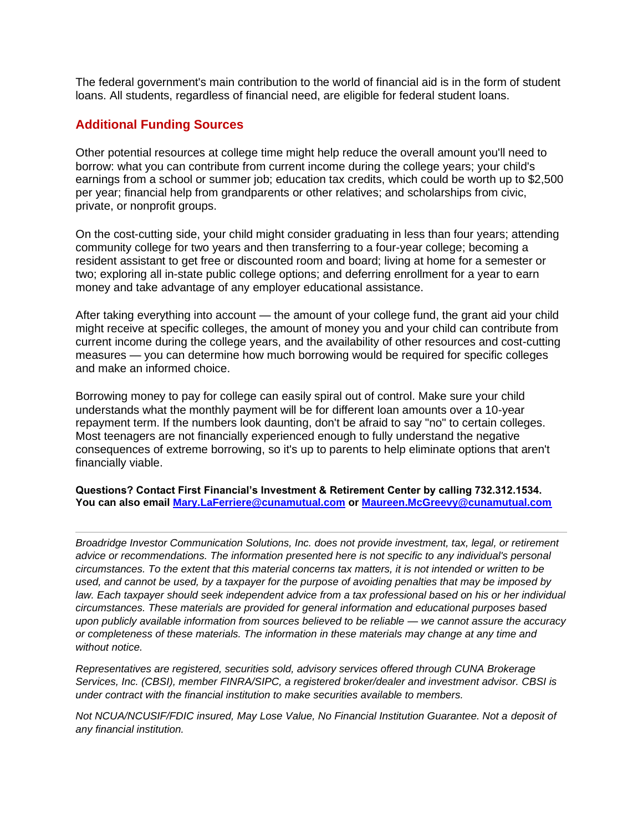The federal government's main contribution to the world of financial aid is in the form of student loans. All students, regardless of financial need, are eligible for federal student loans.

## **Additional Funding Sources**

Other potential resources at college time might help reduce the overall amount you'll need to borrow: what you can contribute from current income during the college years; your child's earnings from a school or summer job; education tax credits, which could be worth up to \$2,500 per year; financial help from grandparents or other relatives; and scholarships from civic, private, or nonprofit groups.

On the cost-cutting side, your child might consider graduating in less than four years; attending community college for two years and then transferring to a four-year college; becoming a resident assistant to get free or discounted room and board; living at home for a semester or two; exploring all in-state public college options; and deferring enrollment for a year to earn money and take advantage of any employer educational assistance.

After taking everything into account — the amount of your college fund, the grant aid your child might receive at specific colleges, the amount of money you and your child can contribute from current income during the college years, and the availability of other resources and cost-cutting measures — you can determine how much borrowing would be required for specific colleges and make an informed choice.

Borrowing money to pay for college can easily spiral out of control. Make sure your child understands what the monthly payment will be for different loan amounts over a 10-year repayment term. If the numbers look daunting, don't be afraid to say "no" to certain colleges. Most teenagers are not financially experienced enough to fully understand the negative consequences of extreme borrowing, so it's up to parents to help eliminate options that aren't financially viable.

**Questions? Contact First Financial's Investment & Retirement Center by calling 732.312.1534. You can also email [Mary.LaFerriere@cunamutual.com](mailto:Mary.LaFerriere@cunamutual.com) or [Maureen.McGreevy@cunamutual.com](mailto:Maureen.McGreevy@cunamutual.com)**

*Broadridge Investor Communication Solutions, Inc. does not provide investment, tax, legal, or retirement advice or recommendations. The information presented here is not specific to any individual's personal circumstances. To the extent that this material concerns tax matters, it is not intended or written to be used, and cannot be used, by a taxpayer for the purpose of avoiding penalties that may be imposed by law. Each taxpayer should seek independent advice from a tax professional based on his or her individual circumstances. These materials are provided for general information and educational purposes based upon publicly available information from sources believed to be reliable — we cannot assure the accuracy or completeness of these materials. The information in these materials may change at any time and without notice.*

*Representatives are registered, securities sold, advisory services offered through CUNA Brokerage Services, Inc. (CBSI), member FINRA/SIPC, a registered broker/dealer and investment advisor. CBSI is under contract with the financial institution to make securities available to members.*

*Not NCUA/NCUSIF/FDIC insured, May Lose Value, No Financial Institution Guarantee. Not a deposit of any financial institution.*